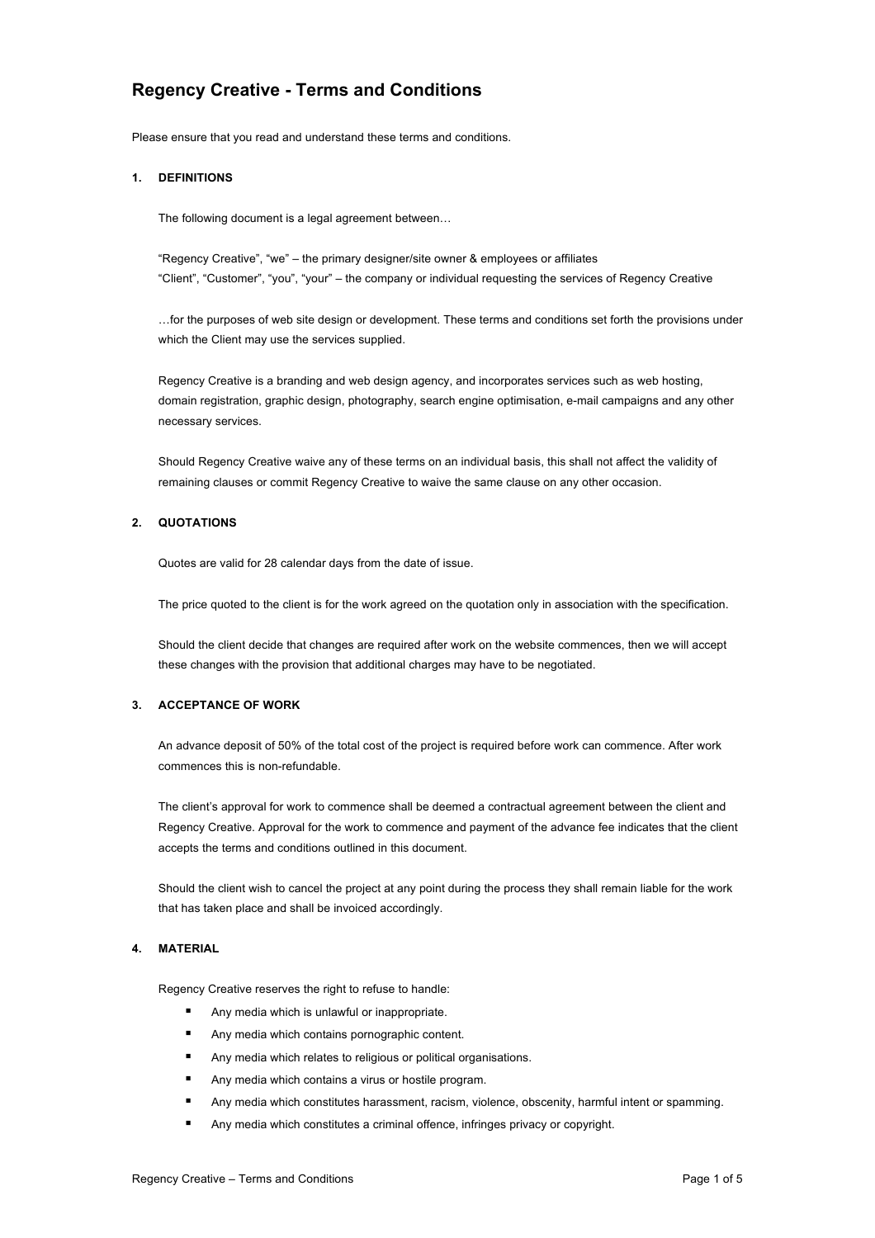# **Regency Creative - Terms and Conditions**

Please ensure that you read and understand these terms and conditions.

#### **1. DEFINITIONS**

The following document is a legal agreement between…

"Regency Creative", "we" – the primary designer/site owner & employees or affiliates "Client", "Customer", "you", "your" – the company or individual requesting the services of Regency Creative

…for the purposes of web site design or development. These terms and conditions set forth the provisions under which the Client may use the services supplied.

Regency Creative is a branding and web design agency, and incorporates services such as web hosting, domain registration, graphic design, photography, search engine optimisation, e-mail campaigns and any other necessary services.

Should Regency Creative waive any of these terms on an individual basis, this shall not affect the validity of remaining clauses or commit Regency Creative to waive the same clause on any other occasion.

## **2. QUOTATIONS**

Quotes are valid for 28 calendar days from the date of issue.

The price quoted to the client is for the work agreed on the quotation only in association with the specification.

Should the client decide that changes are required after work on the website commences, then we will accept these changes with the provision that additional charges may have to be negotiated.

#### **3. ACCEPTANCE OF WORK**

An advance deposit of 50% of the total cost of the project is required before work can commence. After work commences this is non-refundable.

The client's approval for work to commence shall be deemed a contractual agreement between the client and Regency Creative. Approval for the work to commence and payment of the advance fee indicates that the client accepts the terms and conditions outlined in this document.

Should the client wish to cancel the project at any point during the process they shall remain liable for the work that has taken place and shall be invoiced accordingly.

#### **4. MATERIAL**

Regency Creative reserves the right to refuse to handle:

- § Any media which is unlawful or inappropriate.
- Any media which contains pornographic content.
- Any media which relates to religious or political organisations.
- Any media which contains a virus or hostile program.
- Any media which constitutes harassment, racism, violence, obscenity, harmful intent or spamming.
- Any media which constitutes a criminal offence, infringes privacy or copyright.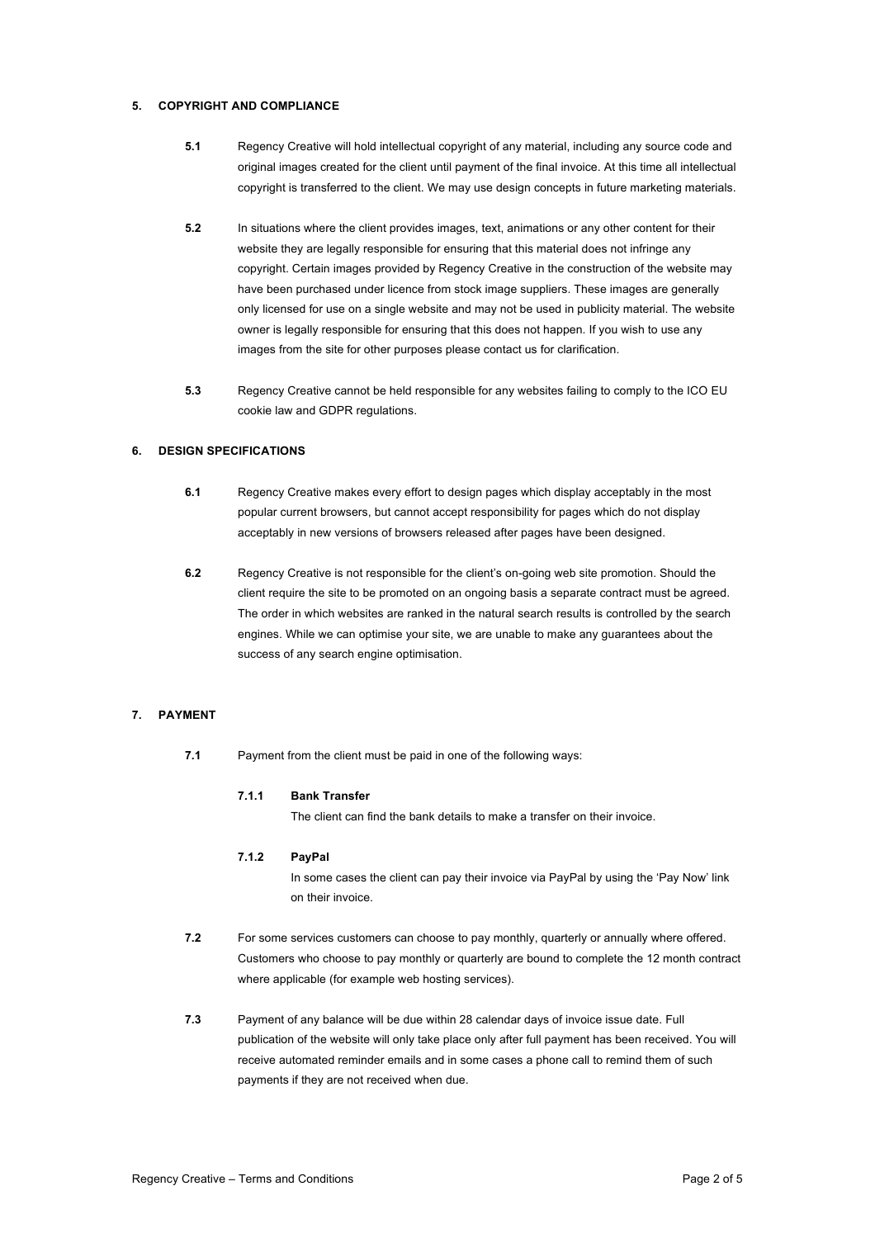# **5. COPYRIGHT AND COMPLIANCE**

- **5.1** Regency Creative will hold intellectual copyright of any material, including any source code and original images created for the client until payment of the final invoice. At this time all intellectual copyright is transferred to the client. We may use design concepts in future marketing materials.
- **5.2** In situations where the client provides images, text, animations or any other content for their website they are legally responsible for ensuring that this material does not infringe any copyright. Certain images provided by Regency Creative in the construction of the website may have been purchased under licence from stock image suppliers. These images are generally only licensed for use on a single website and may not be used in publicity material. The website owner is legally responsible for ensuring that this does not happen. If you wish to use any images from the site for other purposes please contact us for clarification.
- **5.3** Regency Creative cannot be held responsible for any websites failing to comply to the ICO EU cookie law and GDPR regulations.

## **6. DESIGN SPECIFICATIONS**

- **6.1** Regency Creative makes every effort to design pages which display acceptably in the most popular current browsers, but cannot accept responsibility for pages which do not display acceptably in new versions of browsers released after pages have been designed.
- **6.2** Regency Creative is not responsible for the client's on-going web site promotion. Should the client require the site to be promoted on an ongoing basis a separate contract must be agreed. The order in which websites are ranked in the natural search results is controlled by the search engines. While we can optimise your site, we are unable to make any guarantees about the success of any search engine optimisation.

# **7. PAYMENT**

**7.1** Payment from the client must be paid in one of the following ways:

## **7.1.1 Bank Transfer**

The client can find the bank details to make a transfer on their invoice.

## **7.1.2 PayPal**

In some cases the client can pay their invoice via PayPal by using the 'Pay Now' link on their invoice.

- **7.2** For some services customers can choose to pay monthly, quarterly or annually where offered. Customers who choose to pay monthly or quarterly are bound to complete the 12 month contract where applicable (for example web hosting services).
- **7.3** Payment of any balance will be due within 28 calendar days of invoice issue date. Full publication of the website will only take place only after full payment has been received. You will receive automated reminder emails and in some cases a phone call to remind them of such payments if they are not received when due.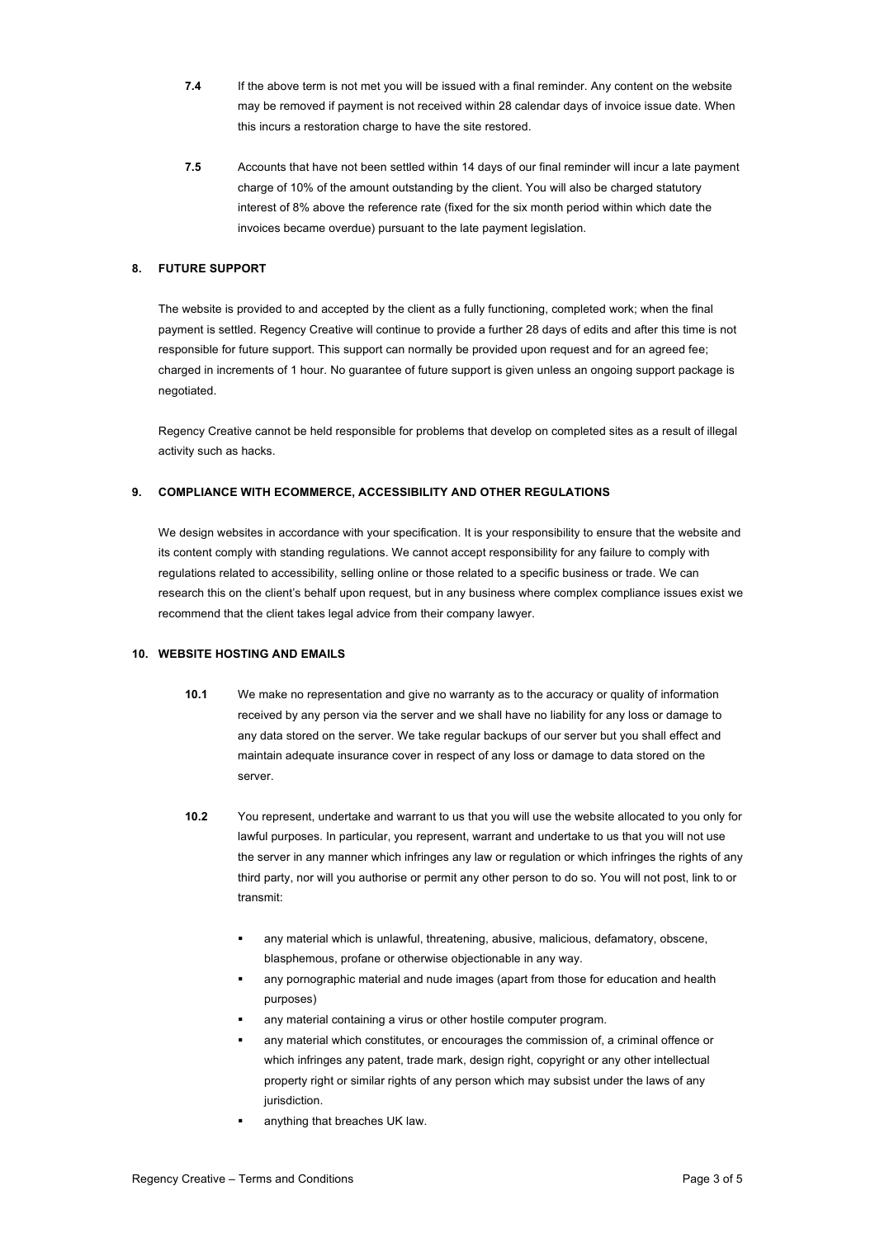- **7.4** If the above term is not met you will be issued with a final reminder. Any content on the website may be removed if payment is not received within 28 calendar days of invoice issue date. When this incurs a restoration charge to have the site restored.
- **7.5** Accounts that have not been settled within 14 days of our final reminder will incur a late payment charge of 10% of the amount outstanding by the client. You will also be charged statutory interest of 8% above the reference rate (fixed for the six month period within which date the invoices became overdue) pursuant to the late payment legislation.

### **8. FUTURE SUPPORT**

The website is provided to and accepted by the client as a fully functioning, completed work; when the final payment is settled. Regency Creative will continue to provide a further 28 days of edits and after this time is not responsible for future support. This support can normally be provided upon request and for an agreed fee; charged in increments of 1 hour. No guarantee of future support is given unless an ongoing support package is negotiated.

Regency Creative cannot be held responsible for problems that develop on completed sites as a result of illegal activity such as hacks.

# **9. COMPLIANCE WITH ECOMMERCE, ACCESSIBILITY AND OTHER REGULATIONS**

We design websites in accordance with your specification. It is your responsibility to ensure that the website and its content comply with standing regulations. We cannot accept responsibility for any failure to comply with regulations related to accessibility, selling online or those related to a specific business or trade. We can research this on the client's behalf upon request, but in any business where complex compliance issues exist we recommend that the client takes legal advice from their company lawyer.

## **10. WEBSITE HOSTING AND EMAILS**

- **10.1** We make no representation and give no warranty as to the accuracy or quality of information received by any person via the server and we shall have no liability for any loss or damage to any data stored on the server. We take regular backups of our server but you shall effect and maintain adequate insurance cover in respect of any loss or damage to data stored on the server.
- **10.2** You represent, undertake and warrant to us that you will use the website allocated to you only for lawful purposes. In particular, you represent, warrant and undertake to us that you will not use the server in any manner which infringes any law or regulation or which infringes the rights of any third party, nor will you authorise or permit any other person to do so. You will not post, link to or transmit:
	- any material which is unlawful, threatening, abusive, malicious, defamatory, obscene, blasphemous, profane or otherwise objectionable in any way.
	- any pornographic material and nude images (apart from those for education and health purposes)
	- any material containing a virus or other hostile computer program.
	- any material which constitutes, or encourages the commission of, a criminal offence or which infringes any patent, trade mark, design right, copyright or any other intellectual property right or similar rights of any person which may subsist under the laws of any jurisdiction.
	- anything that breaches UK law.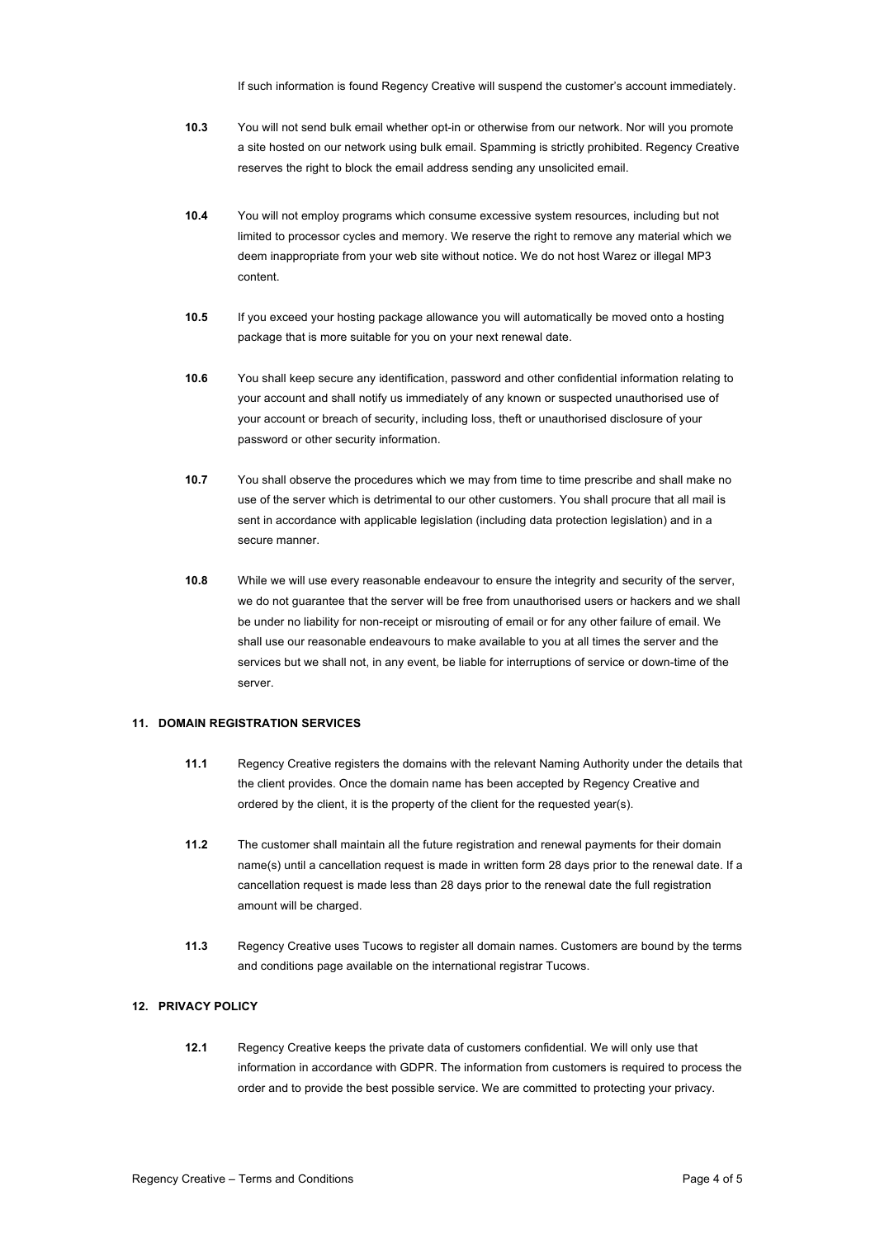If such information is found Regency Creative will suspend the customer's account immediately.

- **10.3** You will not send bulk email whether opt-in or otherwise from our network. Nor will you promote a site hosted on our network using bulk email. Spamming is strictly prohibited. Regency Creative reserves the right to block the email address sending any unsolicited email.
- **10.4** You will not employ programs which consume excessive system resources, including but not limited to processor cycles and memory. We reserve the right to remove any material which we deem inappropriate from your web site without notice. We do not host Warez or illegal MP3 content.
- **10.5** If you exceed your hosting package allowance you will automatically be moved onto a hosting package that is more suitable for you on your next renewal date.
- **10.6** You shall keep secure any identification, password and other confidential information relating to your account and shall notify us immediately of any known or suspected unauthorised use of your account or breach of security, including loss, theft or unauthorised disclosure of your password or other security information.
- **10.7** You shall observe the procedures which we may from time to time prescribe and shall make no use of the server which is detrimental to our other customers. You shall procure that all mail is sent in accordance with applicable legislation (including data protection legislation) and in a secure manner.
- **10.8** While we will use every reasonable endeavour to ensure the integrity and security of the server, we do not guarantee that the server will be free from unauthorised users or hackers and we shall be under no liability for non-receipt or misrouting of email or for any other failure of email. We shall use our reasonable endeavours to make available to you at all times the server and the services but we shall not, in any event, be liable for interruptions of service or down-time of the server.

#### **11. DOMAIN REGISTRATION SERVICES**

- **11.1** Regency Creative registers the domains with the relevant Naming Authority under the details that the client provides. Once the domain name has been accepted by Regency Creative and ordered by the client, it is the property of the client for the requested year(s).
- **11.2** The customer shall maintain all the future registration and renewal payments for their domain name(s) until a cancellation request is made in written form 28 days prior to the renewal date. If a cancellation request is made less than 28 days prior to the renewal date the full registration amount will be charged.
- **11.3** Regency Creative uses Tucows to register all domain names. Customers are bound by the terms and conditions page available on the international registrar Tucows.

#### **12. PRIVACY POLICY**

**12.1** Regency Creative keeps the private data of customers confidential. We will only use that information in accordance with GDPR. The information from customers is required to process the order and to provide the best possible service. We are committed to protecting your privacy.